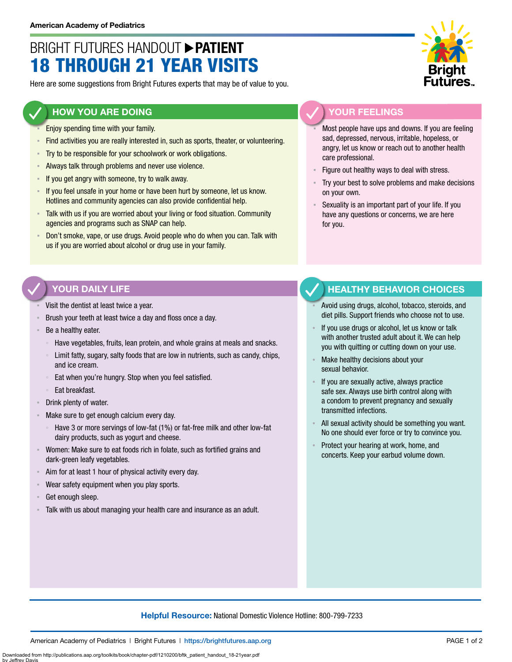# BRIGHT FUTURES HANDOUT **PATIENT** 18 THROUGH 21 YEAR VISITS

Here are some suggestions from Bright Futures experts that may be of value to you.

#### **HOW YOU ARE DOING**

- Enjoy spending time with your family.
- Find activities you are really interested in, such as sports, theater, or volunteering.
- **EXECT:** Try to be responsible for your schoolwork or work obligations.
- **EXED Always talk through problems and never use violence.**
- If you get angry with someone, try to walk away.
- **EXED 15 If you feel unsafe in your home or have been hurt by someone, let us know.** Hotlines and community agencies can also provide confidential help.
- **EXTE Talk with us if you are worried about your living or food situation. Community** agencies and programs such as SNAP can help.
- Don't smoke, vape, or use drugs. Avoid people who do when you can. Talk with us if you are worried about alcohol or drug use in your family.

## **YOUR FEELINGS**

Most people have ups and downs. If you are feeling sad, depressed, nervous, irritable, hopeless, or angry, let us know or reach out to another health care professional.

- Figure out healthy ways to deal with stress.
- Try your best to solve problems and make decisions on your own.
- Sexuality is an important part of your life. If you have any questions or concerns, we are here for you.

#### **YOUR DAILY LIFE**

- Visit the dentist at least twice a year.
- Brush your teeth at least twice a day and floss once a day.
- Be a healthy eater.
	- Have vegetables, fruits, lean protein, and whole grains at meals and snacks.
	- Limit fatty, sugary, salty foods that are low in nutrients, such as candy, chips, and ice cream.
	- Eat when you're hungry. Stop when you feel satisfied.
	- Eat breakfast.
- Drink plenty of water.
- Make sure to get enough calcium every day.
	- Have 3 or more servings of low-fat (1%) or fat-free milk and other low-fat dairy products, such as yogurt and cheese.
- Women: Make sure to eat foods rich in folate, such as fortified grains and dark-green leafy vegetables.
- Aim for at least 1 hour of physical activity every day.
- Wear safety equipment when you play sports.
- Get enough sleep.
- Talk with us about managing your health care and insurance as an adult.

### **HEALTHY BEHAVIOR CHOICES**

- Avoid using drugs, alcohol, tobacco, steroids, and diet pills. Support friends who choose not to use.
- If you use drugs or alcohol, let us know or talk with another trusted adult about it. We can help you with quitting or cutting down on your use.
- Make healthy decisions about your sexual behavior.
- If you are sexually active, always practice safe sex. Always use birth control along with a condom to prevent pregnancy and sexually transmitted infections.
- All sexual activity should be something you want. No one should ever force or try to convince you.
- Protect your hearing at work, home, and concerts. Keep your earbud volume down.

#### **Helpful Resource:** National Domestic Violence Hotline: 800-799-7233